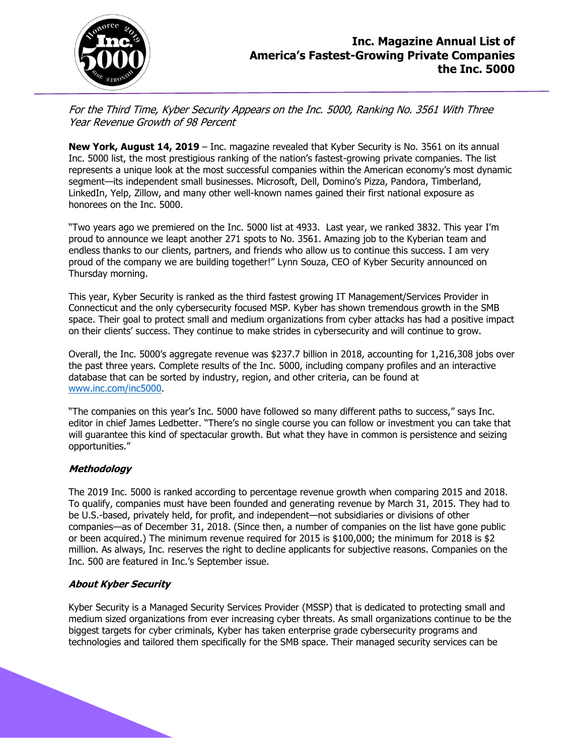

For the Third Time, Kyber Security Appears on the Inc. 5000, Ranking No. 3561 With Three Year Revenue Growth of 98 Percent

**New York, August 14, 2019** – Inc. magazine revealed that Kyber Security is No. 3561 on its annual Inc. 5000 list, the most prestigious ranking of the nation's fastest-growing private companies. The list represents a unique look at the most successful companies within the American economy's most dynamic segment—its independent small businesses. Microsoft, Dell, Domino's Pizza, Pandora, Timberland, LinkedIn, Yelp, Zillow, and many other well-known names gained their first national exposure as honorees on the Inc. 5000.

"Two years ago we premiered on the Inc. 5000 list at 4933. Last year, we ranked 3832. This year I'm proud to announce we leapt another 271 spots to No. 3561. Amazing job to the Kyberian team and endless thanks to our clients, partners, and friends who allow us to continue this success. I am very proud of the company we are building together!" Lynn Souza, CEO of Kyber Security announced on Thursday morning.

This year, Kyber Security is ranked as the third fastest growing IT Management/Services Provider in Connecticut and the only cybersecurity focused MSP. Kyber has shown tremendous growth in the SMB space. Their goal to protect small and medium organizations from cyber attacks has had a positive impact on their clients' success. They continue to make strides in cybersecurity and will continue to grow.

Overall, the Inc. 5000's aggregate revenue was \$237.7 billion in 2018, accounting for 1,216,308 jobs over the past three years. Complete results of the Inc. 5000, including company profiles and an interactive database that can be sorted by industry, region, and other criteria, can be found at [www.inc.com/inc5000.](http://www.inc.com/inc5000)

"The companies on this year's Inc. 5000 have followed so many different paths to success," says Inc. editor in chief James Ledbetter. "There's no single course you can follow or investment you can take that will guarantee this kind of spectacular growth. But what they have in common is persistence and seizing opportunities."

## **Methodology**

The 2019 Inc. 5000 is ranked according to percentage revenue growth when comparing 2015 and 2018. To qualify, companies must have been founded and generating revenue by March 31, 2015. They had to be U.S.-based, privately held, for profit, and independent—not subsidiaries or divisions of other companies—as of December 31, 2018. (Since then, a number of companies on the list have gone public or been acquired.) The minimum revenue required for 2015 is \$100,000; the minimum for 2018 is \$2 million. As always, Inc. reserves the right to decline applicants for subjective reasons. Companies on the Inc. 500 are featured in Inc.'s September issue.

## **About Kyber Security**

Kyber Security is a Managed Security Services Provider (MSSP) that is dedicated to protecting small and medium sized organizations from ever increasing cyber threats. As small organizations continue to be the biggest targets for cyber criminals, Kyber has taken enterprise grade cybersecurity programs and technologies and tailored them specifically for the SMB space. Their managed security services can be